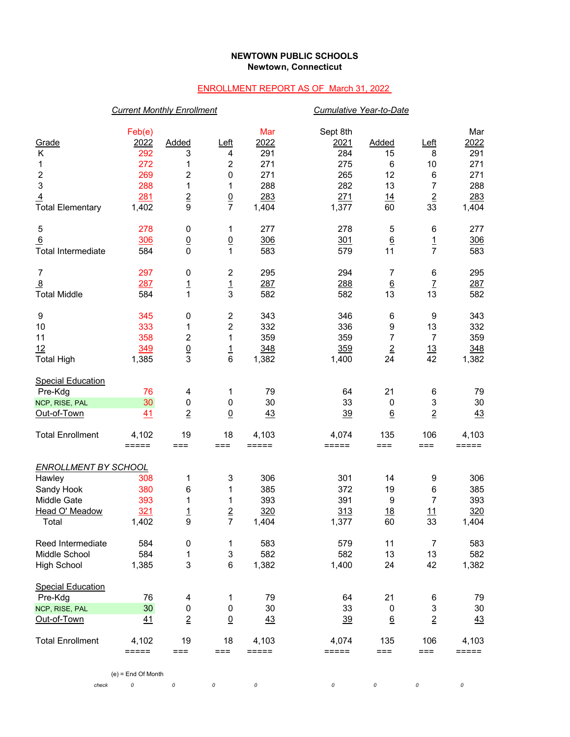## **NEWTOWN PUBLIC SCHOOLS Newtown, Connecticut**

## ENROLLMENT REPORT AS OF March 31, 2022

|                             | <b>Current Monthly Enrollment</b> |                         |                 |                              |                         | <b>Cumulative Year-to-Date</b> |                           |                    |
|-----------------------------|-----------------------------------|-------------------------|-----------------|------------------------------|-------------------------|--------------------------------|---------------------------|--------------------|
| Grade<br>Κ                  | Feb(e)<br>2022<br>292             | Added<br>3              | $L$ eft<br>4    | Mar<br>2022<br>291           | Sept 8th<br>2021<br>284 | Added<br>15                    | Left<br>8                 | Mar<br>2022<br>291 |
| 1                           | 272                               | 1                       | $\overline{c}$  | 271                          | 275                     | 6                              | 10                        | 271                |
| $\boldsymbol{2}$            | 269                               | 2                       | 0               | 271                          | 265                     | 12                             | $\,6\,$                   | 271                |
| $\ensuremath{\mathsf{3}}$   | 288                               | 1                       | 1               | 288                          | 282                     | 13                             | 7                         | 288                |
| $\overline{4}$              | 281                               | $\overline{2}$          | $\underline{0}$ | 283                          | 271                     | 14                             | $\overline{2}$            | 283                |
| <b>Total Elementary</b>     | 1,402                             | 9                       | $\overline{7}$  | 1,404                        | 1,377                   | 60                             | 33                        | 1,404              |
| 5                           | 278                               | 0                       | 1               | 277                          | 278                     | 5                              | 6                         | 277                |
| 6                           | 306                               | $\underline{0}$         | $\overline{0}$  | 306                          | 301                     | $6\overline{6}$                | <u>1</u>                  | 306                |
| <b>Total Intermediate</b>   | 584                               | $\mathbf 0$             | 1               | 583                          | 579                     | 11                             | $\overline{7}$            | 583                |
| $\overline{7}$              | 297                               | 0                       | $\overline{2}$  | 295                          | 294                     | 7                              | 6                         | 295                |
| $\overline{8}$              | 287                               | <u> 1</u>               | $\frac{1}{3}$   | 287                          | 288                     | $6\overline{6}$                | $\overline{1}$            | 287                |
| <b>Total Middle</b>         | 584                               | 1                       |                 | 582                          | 582                     | 13                             | 13                        | 582                |
| 9                           | 345                               | 0                       | $\overline{c}$  | 343                          | 346                     | 6                              | 9                         | 343                |
| 10                          | 333                               | 1                       | $\overline{c}$  | 332                          | 336                     | 9                              | 13                        | 332                |
| 11                          | 358                               | $\overline{\mathbf{c}}$ | 1               | 359                          | 359                     | $\overline{7}$                 | $\overline{7}$            | 359                |
| 12                          | 349                               | $\underline{0}$         | <u> 1</u>       | 348                          | 359                     | $\overline{2}$                 | 13                        | 348                |
| <b>Total High</b>           | 1,385                             | 3                       | 6               | 1,382                        | 1,400                   | 24                             | 42                        | 1,382              |
| <b>Special Education</b>    |                                   |                         |                 |                              |                         |                                |                           |                    |
| Pre-Kdg                     | 76                                | 4                       | 1               | 79                           | 64                      | 21                             | 6                         | 79                 |
| NCP, RISE, PAL              | 30                                | $\pmb{0}$               | 0               | 30                           | 33                      | 0                              | 3                         | 30                 |
| Out-of-Town                 | 41                                | $\overline{2}$          | $\underline{0}$ | 43                           | <u>39</u>               | $\underline{6}$                | $\overline{2}$            | 43                 |
| <b>Total Enrollment</b>     | 4,102<br>$=$ $=$ $=$ $=$ $=$      | 19<br>$==$              | 18<br>$==$      | 4,103<br>$=$ $=$ $=$ $=$ $=$ | 4,074<br>$=====$        | 135<br>$==$                    | 106<br>$===$              | 4,103<br>=====     |
| <b>ENROLLMENT BY SCHOOL</b> |                                   |                         |                 |                              |                         |                                |                           |                    |
| Hawley                      | 308                               | 1                       | 3               | 306                          | 301                     | 14                             | 9                         | 306                |
| Sandy Hook                  | 380                               | 6                       | 1               | 385                          | 372                     | 19                             | 6                         | 385                |
| Middle Gate                 | 393                               | 1                       | 1               | 393                          | 391                     | 9                              | $\overline{7}$            | 393                |
| Head O' Meadow              | 321                               | $\overline{1}$          | $\underline{2}$ | 320                          | 313                     | <u>18</u>                      | 11                        | 320                |
| Total                       | 1,402                             | 9                       | $\overline{7}$  | 1,404                        | 1,377                   | 60                             | 33                        | 1,404              |
| Reed Intermediate           | 584                               | 0                       | 1               | 583                          | 579                     | 11                             | $\overline{7}$            | 583                |
| Middle School               | 584                               | 1                       | 3               | 582                          | 582                     | 13                             | 13                        | 582                |
| <b>High School</b>          | 1,385                             | 3                       | $\,6$           | 1,382                        | 1,400                   | 24                             | 42                        | 1,382              |
| <b>Special Education</b>    |                                   |                         |                 |                              |                         |                                |                           |                    |
| Pre-Kdg                     | 76                                | 4                       | 1               | 79                           | 64                      | 21                             | 6                         | 79                 |
| NCP, RISE, PAL              | 30                                | 0                       | 0               | 30                           | 33                      | 0                              | $\ensuremath{\mathsf{3}}$ | $30\,$             |
| Out-of-Town                 | 41                                | $\overline{2}$          | $\overline{0}$  | 43                           | $\frac{39}{2}$          | $6\overline{6}$                | $\overline{2}$            | 43                 |
| <b>Total Enrollment</b>     | 4,102<br>$=====$                  | 19<br>$==$              | 18<br>$==$      | 4,103<br>$=====$             | 4,074<br>$=====$        | 135<br>$==$                    | 106<br>$==$               | 4,103<br>=====     |
|                             |                                   |                         |                 |                              |                         |                                |                           |                    |

(e) = End Of Month

*check 0 0 0 0 0 0 0 0*